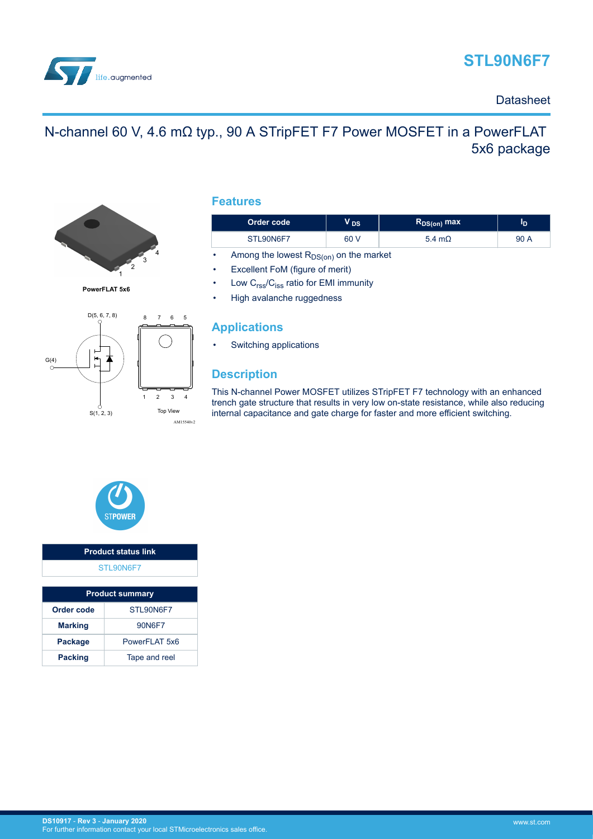



### **Datasheet**

# N-channel 60 V, 4.6 mΩ typ., 90 A STripFET F7 Power MOSFET in a PowerFLAT 5x6 package



**PowerFLAT 5x6**



### **Features**

| Order code | <b>DS</b> | $\mathsf{R}_{\mathsf{DS}( \mathsf{on})}$ max $\mathsf{R}_{\mathsf{DS}( \mathsf{on})}$ | סי   |
|------------|-----------|---------------------------------------------------------------------------------------|------|
| STL90N6F7  | 60 V      | 5.4 m $\Omega$                                                                        | 90 A |

Among the lowest  $R_{DS(on)}$  on the market

Excellent FoM (figure of merit)

Low C<sub>rss</sub>/C<sub>iss</sub> ratio for EMI immunity

• High avalanche ruggedness

### **Applications**

• Switching applications

### **Description**

This N-channel Power MOSFET utilizes STripFET F7 technology with an enhanced trench gate structure that results in very low on-state resistance, while also reducing internal capacitance and gate charge for faster and more efficient switching.



# **Product status link** [STL90N6F7](https://www.st.com/en/product/STL90N6F7?ecmp=tt9470_gl_link_feb2019&rt=ds&id=DS10917)

| <b>Product summary</b>  |               |  |
|-------------------------|---------------|--|
| Order code<br>STL90N6F7 |               |  |
| <b>Marking</b>          | 90N6F7        |  |
| Package                 | PowerFLAT 5x6 |  |
| <b>Packing</b>          | Tape and reel |  |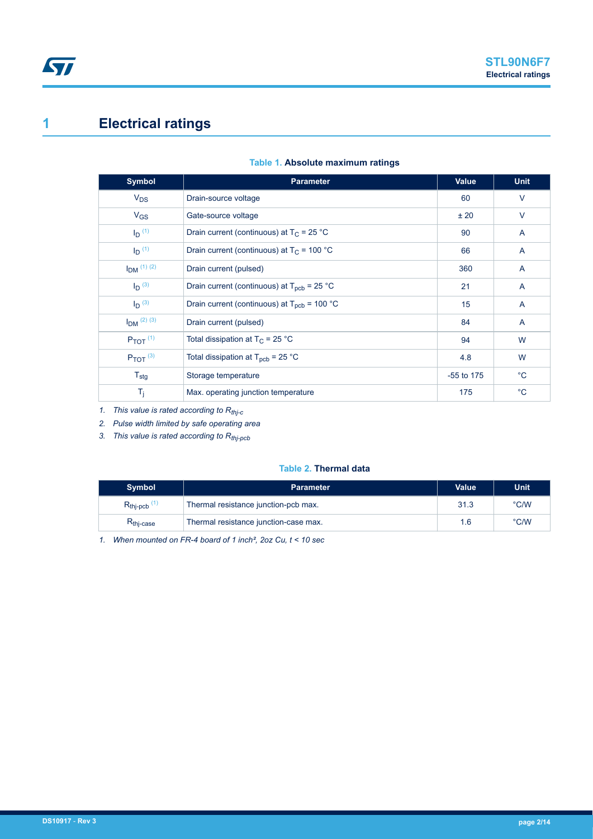# **1 Electrical ratings**

| <b>Symbol</b>            | <b>Parameter</b>                                               | Value        | <b>Unit</b>    |
|--------------------------|----------------------------------------------------------------|--------------|----------------|
| $V_{DS}$                 | Drain-source voltage                                           | 60           | $\vee$         |
| $V_{GS}$                 | Gate-source voltage                                            | ± 20         | V              |
| $I_D$ (1)                | Drain current (continuous) at $T_C = 25 °C$                    | 90           | A              |
| $I_{\text{D}}^{(1)}$     | Drain current (continuous) at $T_c$ = 100 °C                   | 66           | $\overline{A}$ |
| $I_{DM}$ (1) (2)         | Drain current (pulsed)                                         | 360          | $\overline{A}$ |
| $I_D$ (3)                | Drain current (continuous) at $T_{\text{pcb}} = 25 \text{ °C}$ | 21           | A              |
| $I_D$ (3)                | Drain current (continuous) at $T_{\text{pcb}}$ = 100 °C        | 15           | A              |
| $I_{DM}$ (2) (3)         | Drain current (pulsed)                                         | 84           | $\overline{A}$ |
| $P_{TOT}$ <sup>(1)</sup> | Total dissipation at $T_C = 25 °C$                             | 94           | W              |
| $P_{TOT}$ (3)            | Total dissipation at $T_{\text{pcb}}$ = 25 °C                  | 4.8          | W              |
| $T_{\text{stg}}$         | Storage temperature                                            | $-55$ to 175 | $^{\circ}$ C   |
| $T_j$                    | Max. operating junction temperature                            | 175          | $^{\circ}$ C   |

### **Table 1. Absolute maximum ratings**

*1. This value is rated according to Rthj-c*

*2. Pulse width limited by safe operating area*

*3. This value is rated according to Rthj-pcb*

#### **Table 2. Thermal data**

| <b>Symbol</b>                    | <b>Parameter</b>                      | <b>Value</b> | Unit          |
|----------------------------------|---------------------------------------|--------------|---------------|
| $R_{\text{thip}}$ <sub>(1)</sub> | Thermal resistance junction-pcb max.  | 31.3         | $\degree$ C/W |
| R <sub>thi-case</sub>            | Thermal resistance junction-case max. | 1.6          | $\degree$ C/W |

*1. When mounted on FR-4 board of 1 inch², 2oz Cu, t < 10 sec*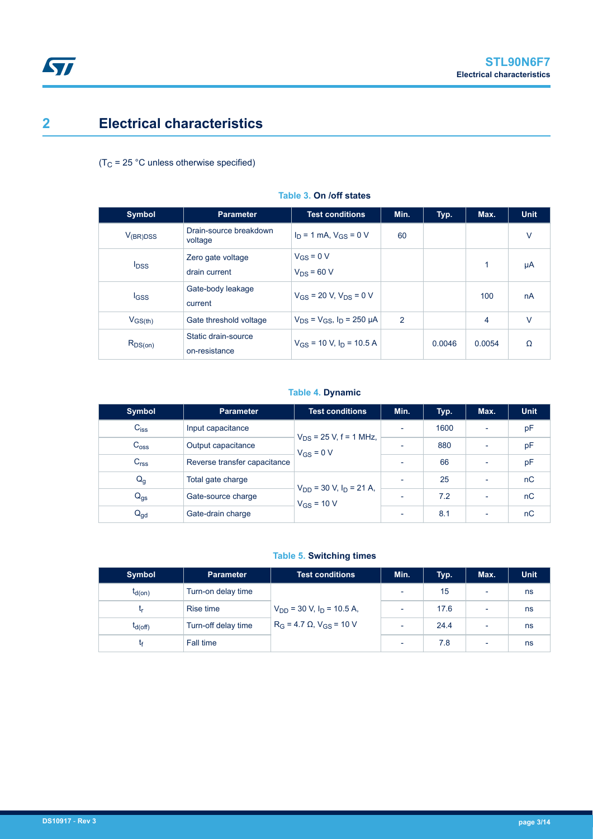# **2 Electrical characteristics**

 $(T_C = 25 °C$  unless otherwise specified)

| <b>Symbol</b>           | <b>Parameter</b>                     | <b>Test conditions</b>                | Min.           | Typ.   | Max.   | <b>Unit</b> |
|-------------------------|--------------------------------------|---------------------------------------|----------------|--------|--------|-------------|
| $V_{(BR)DSS}$           | Drain-source breakdown<br>voltage    | $I_D = 1$ mA, $V_{GS} = 0$ V          | 60             |        |        | $\vee$      |
| <b>I</b> <sub>DSS</sub> | Zero gate voltage<br>drain current   | $V_{GS} = 0 V$<br>$V_{DS}$ = 60 V     |                |        | 1      | μA          |
| $_{\text{GSS}}$         | Gate-body leakage<br>current         | $V_{GS}$ = 20 V, $V_{DS}$ = 0 V       |                |        | 100    | nA          |
| $V_{GS(th)}$            | Gate threshold voltage               | $V_{DS} = V_{GS}$ , $I_D = 250 \mu A$ | $\overline{2}$ |        | 4      | $\vee$      |
| $R_{DS(on)}$            | Static drain-source<br>on-resistance | $V_{GS}$ = 10 V, $I_D$ = 10.5 A       |                | 0.0046 | 0.0054 | Ω           |

#### **Table 3. On /off states**

#### **Table 4. Dynamic**

| Symbol           | <b>Parameter</b>             | <b>Test conditions</b>                            | Min.                     | Typ. | Max.                     | <b>Unit</b> |
|------------------|------------------------------|---------------------------------------------------|--------------------------|------|--------------------------|-------------|
| $C_{iss}$        | Input capacitance            |                                                   | $\overline{\phantom{0}}$ | 1600 |                          | pF          |
| $C_{\text{oss}}$ | Output capacitance           | $V_{DS}$ = 25 V, f = 1 MHz,<br>$V_{GS} = 0 V$     | $\overline{\phantom{0}}$ | 880  | $\overline{\phantom{0}}$ | pF          |
| C <sub>rss</sub> | Reverse transfer capacitance |                                                   | ٠                        | 66   | $\overline{\phantom{0}}$ | pF          |
| $Q_{q}$          | Total gate charge            |                                                   | ٠                        | 25   | $\overline{\phantom{0}}$ | nC          |
| $Q_{gs}$         | Gate-source charge           | $V_{DD}$ = 30 V, $I_D$ = 21 A,<br>$V_{GS}$ = 10 V |                          | 72   | $\overline{\phantom{0}}$ | nC          |
| $Q_{gd}$         | Gate-drain charge            |                                                   | $\overline{\phantom{0}}$ | 8.1  | $\overline{\phantom{a}}$ | nC          |

### **Table 5. Switching times**

| <b>Symbol</b> | <b>Parameter</b>    | <b>Test conditions</b>                                                   | Min. | Typ. | Max. | <b>Unit</b> |
|---------------|---------------------|--------------------------------------------------------------------------|------|------|------|-------------|
| $t_{d(on)}$   | Turn-on delay time  | $V_{DD}$ = 30 V, $I_D$ = 10.5 A,<br>$R_G = 4.7 \Omega$ , $V_{GS} = 10 V$ |      | 15   |      | ns          |
|               | Rise time           |                                                                          |      | 17.6 |      | ns          |
| $t_{d(Off)}$  | Turn-off delay time |                                                                          |      | 24.4 |      | ns          |
|               | Fall time           |                                                                          |      | 7.8  | ٠    | ns          |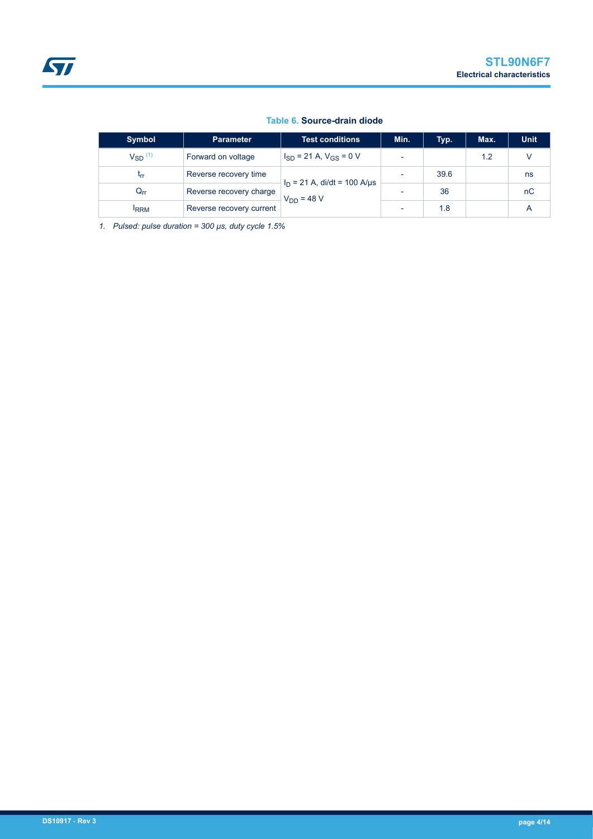#### **Table 6. Source-drain diode**

| <b>Symbol</b>     | <b>Parameter</b>         | <b>Test conditions</b>                            | Min.                     | Typ. | Max. | <b>Unit</b> |
|-------------------|--------------------------|---------------------------------------------------|--------------------------|------|------|-------------|
| $V_{SD}$ $^{(1)}$ | Forward on voltage       | $I_{SD}$ = 21 A, $V_{GS}$ = 0 V                   | $\overline{\phantom{0}}$ |      | 1.2  |             |
| <b>Lrr</b>        | Reverse recovery time    |                                                   | $\overline{\phantom{a}}$ | 39.6 |      | ns          |
| $Q_{rr}$          | Reverse recovery charge  | $I_D = 21$ A, di/dt = 100 A/µs<br>$V_{DD} = 48 V$ |                          | 36   |      | nC          |
| <b>IRRM</b>       | Reverse recovery current |                                                   | $\overline{\phantom{a}}$ | 1.8  |      |             |

*1. Pulsed: pulse duration = 300 µs, duty cycle 1.5%*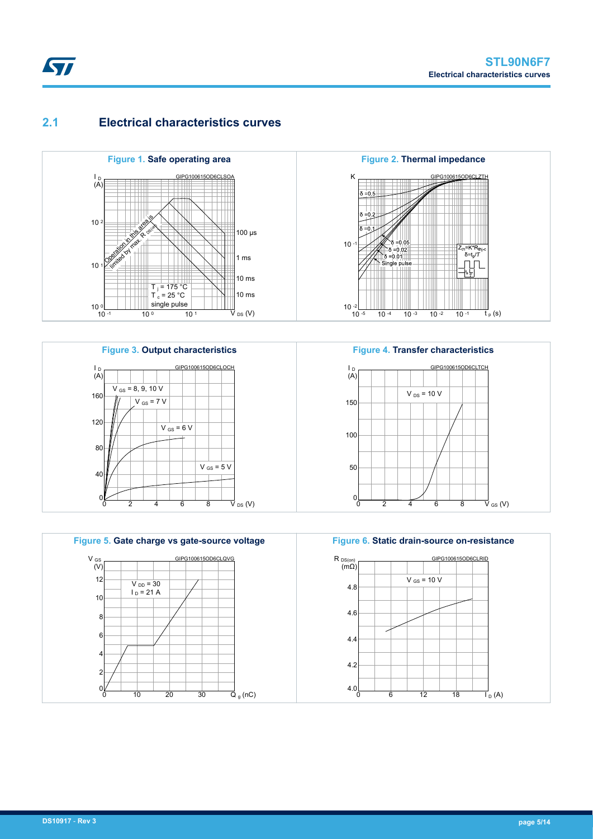$\mathbb{F}_{\mathsf{p}}(\mathsf{s})$ 

 $\overrightarrow{V}$  GS (V)

### **2.1 Electrical characteristics curves**









0 2 4 6 8

**Figure 4. Transfer characteristics**

 $V_{DS}$  = 10 V

150

I<br>D<br>(A)

100

 $0<sub>l</sub>$ 

GIPG100615OD6CLTCH



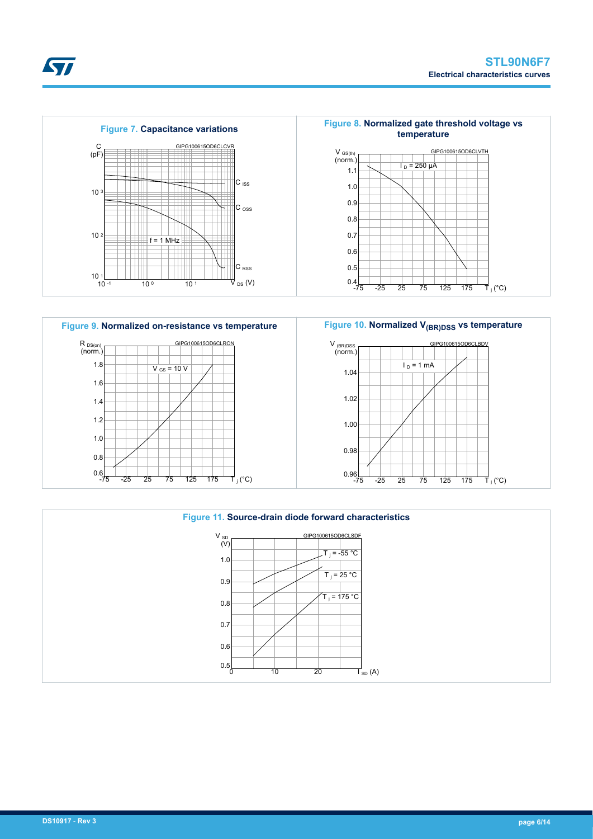









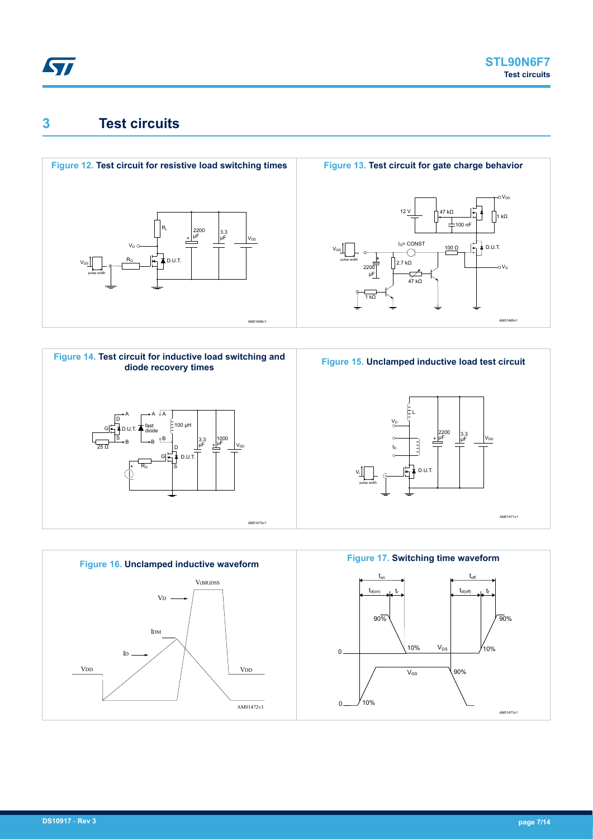# **3 Test circuits**











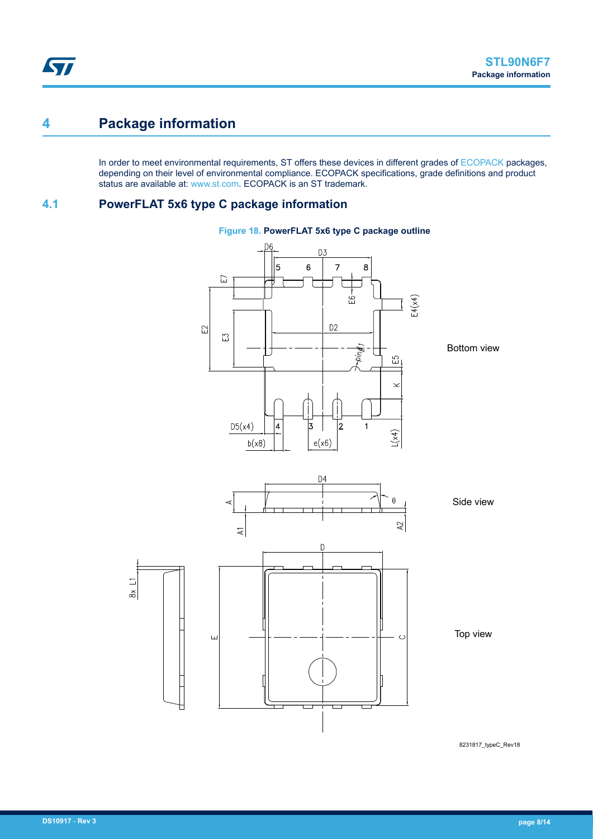# <span id="page-7-0"></span>**4 Package information**

In order to meet environmental requirements, ST offers these devices in different grades of [ECOPACK](https://www.st.com/ecopack) packages, depending on their level of environmental compliance. ECOPACK specifications, grade definitions and product status are available at: [www.st.com.](http://www.st.com) ECOPACK is an ST trademark.

### **4.1 PowerFLAT 5x6 type C package information**



### **Figure 18. PowerFLAT 5x6 type C package outline**

8231817\_typeC\_Rev18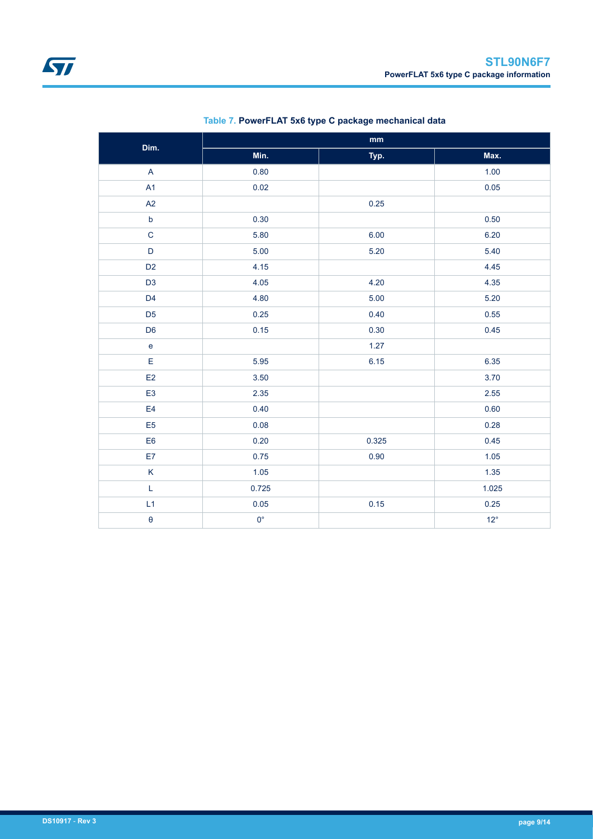| Dim.                              |             | mm    |              |
|-----------------------------------|-------------|-------|--------------|
|                                   | Min.        | Typ.  | Max.         |
| $\boldsymbol{\mathsf{A}}$         | 0.80        |       | 1.00         |
| A1                                | 0.02        |       | 0.05         |
| A2                                |             | 0.25  |              |
| $\mathsf b$                       | 0.30        |       | 0.50         |
| $\mathbf C$                       | 5.80        | 6.00  | 6.20         |
| $\mathsf D$                       | 5.00        | 5.20  | 5.40         |
| D <sub>2</sub>                    | 4.15        |       | 4.45         |
| D <sub>3</sub>                    | 4.05        | 4.20  | 4.35         |
| D <sub>4</sub>                    | 4.80        | 5.00  | 5.20         |
| D <sub>5</sub>                    | 0.25        | 0.40  | 0.55         |
| D <sub>6</sub>                    | 0.15        | 0.30  | 0.45         |
| $\mathsf{e}% _{t}\left( t\right)$ |             | 1.27  |              |
| E                                 | 5.95        | 6.15  | 6.35         |
| E2                                | 3.50        |       | 3.70         |
| E <sub>3</sub>                    | 2.35        |       | 2.55         |
| E <sub>4</sub>                    | 0.40        |       | 0.60         |
| E <sub>5</sub>                    | 0.08        |       | 0.28         |
| E <sub>6</sub>                    | 0.20        | 0.325 | 0.45         |
| E7                                | 0.75        | 0.90  | 1.05         |
| K                                 | 1.05        |       | 1.35         |
| L                                 | 0.725       |       | 1.025        |
| L1                                | 0.05        | 0.15  | 0.25         |
| $\pmb{\Theta}$                    | $0^{\circ}$ |       | $12^{\circ}$ |

### **Table 7. PowerFLAT 5x6 type C package mechanical data**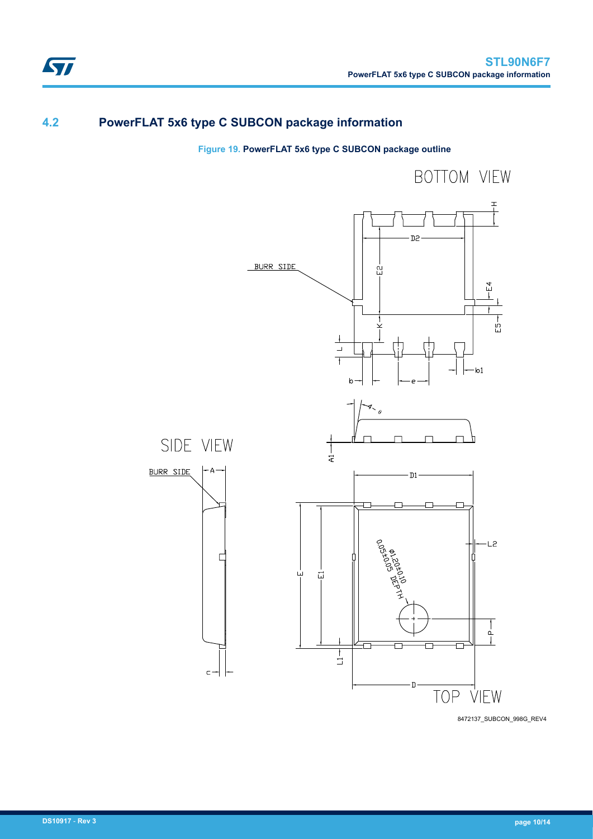# **4.2 PowerFLAT 5x6 type C SUBCON package information**

### **Figure 19. PowerFLAT 5x6 type C SUBCON package outline**



8472137\_SUBCON\_998G\_REV4 8472137\_SUBCON\_998G\_REV4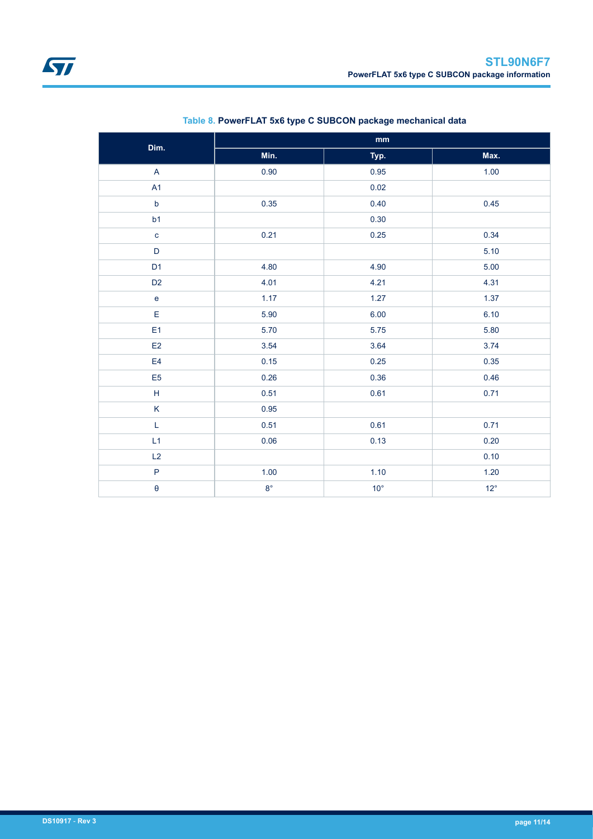| Dim.                                                        | $\mathop{\mathsf{mm}}\nolimits$ |              |              |  |  |
|-------------------------------------------------------------|---------------------------------|--------------|--------------|--|--|
|                                                             | Min.                            | Typ.         | Max.         |  |  |
| $\mathsf A$                                                 | 0.90                            | 0.95         | 1.00         |  |  |
| A1                                                          |                                 | 0.02         |              |  |  |
| $\mathsf b$                                                 | 0.35                            | 0.40         | 0.45         |  |  |
| b1                                                          |                                 | 0.30         |              |  |  |
| $\mathbf c$                                                 | 0.21                            | 0.25         | 0.34         |  |  |
| $\mathsf D$                                                 |                                 |              | 5.10         |  |  |
| D <sub>1</sub>                                              | 4.80                            | 4.90         | 5.00         |  |  |
| D <sub>2</sub>                                              | 4.01                            | 4.21         | 4.31         |  |  |
| e                                                           | 1.17                            | 1.27         | 1.37         |  |  |
| E                                                           | 5.90                            | 6.00         | 6.10         |  |  |
| E1                                                          | 5.70                            | 5.75         | 5.80         |  |  |
| E <sub>2</sub>                                              | 3.54                            | 3.64         | 3.74         |  |  |
| E4                                                          | 0.15                            | 0.25         | 0.35         |  |  |
| E <sub>5</sub>                                              | 0.26                            | 0.36         | 0.46         |  |  |
| $\mathsf{H}% _{\mathbb{R}}^{1}\left( \mathbb{R}^{2}\right)$ | 0.51                            | 0.61         | 0.71         |  |  |
| K                                                           | 0.95                            |              |              |  |  |
| L                                                           | 0.51                            | 0.61         | 0.71         |  |  |
| L1                                                          | 0.06                            | 0.13         | 0.20         |  |  |
| L2                                                          |                                 |              | 0.10         |  |  |
| $\mathsf{P}$                                                | 1.00                            | 1.10         | 1.20         |  |  |
| $\pmb{\Theta}$                                              | $8^{\circ}$                     | $10^{\circ}$ | $12^{\circ}$ |  |  |

### **Table 8. PowerFLAT 5x6 type C SUBCON package mechanical data**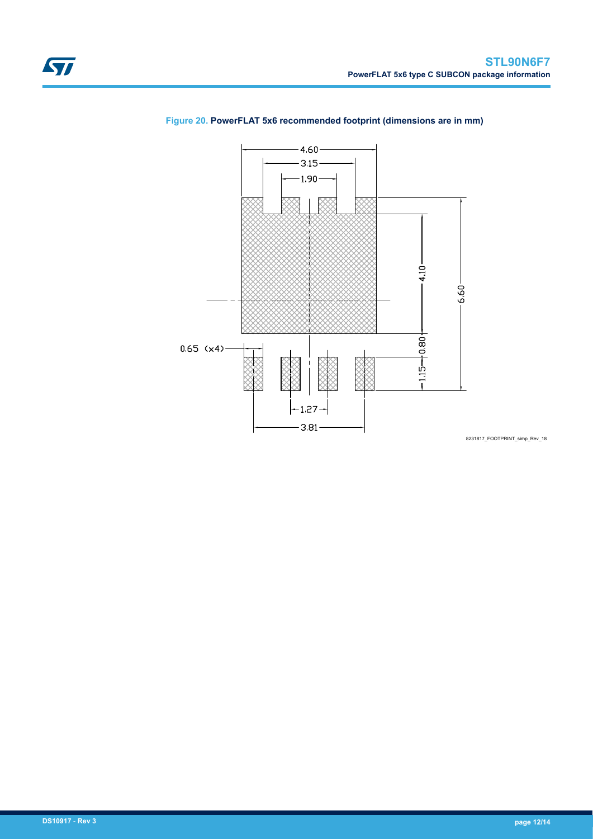

### **Figure 20. PowerFLAT 5x6 recommended footprint (dimensions are in mm)**

8231817\_FOOTPRINT\_simp\_Rev\_18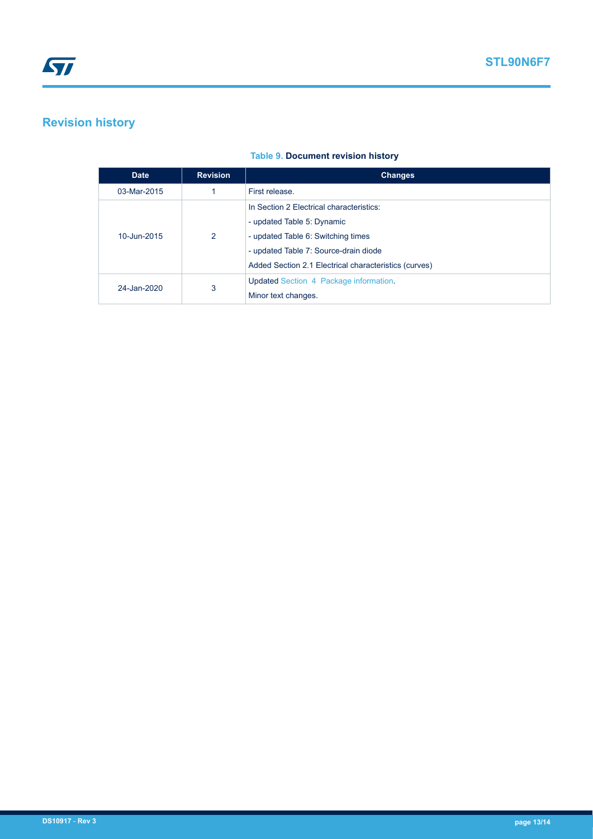# **Revision history**

#### **Table 9. Document revision history**

| <b>Date</b>      | <b>Revision</b> | <b>Changes</b>                                        |
|------------------|-----------------|-------------------------------------------------------|
| 03-Mar-2015      |                 | First release.                                        |
| 2<br>10-Jun-2015 |                 | In Section 2 Electrical characteristics:              |
|                  |                 | - updated Table 5: Dynamic                            |
|                  |                 | - updated Table 6: Switching times                    |
|                  |                 | - updated Table 7: Source-drain diode                 |
|                  |                 | Added Section 2.1 Electrical characteristics (curves) |
| 24-Jan-2020      | 3               | Updated Section 4 Package information.                |
|                  |                 | Minor text changes.                                   |